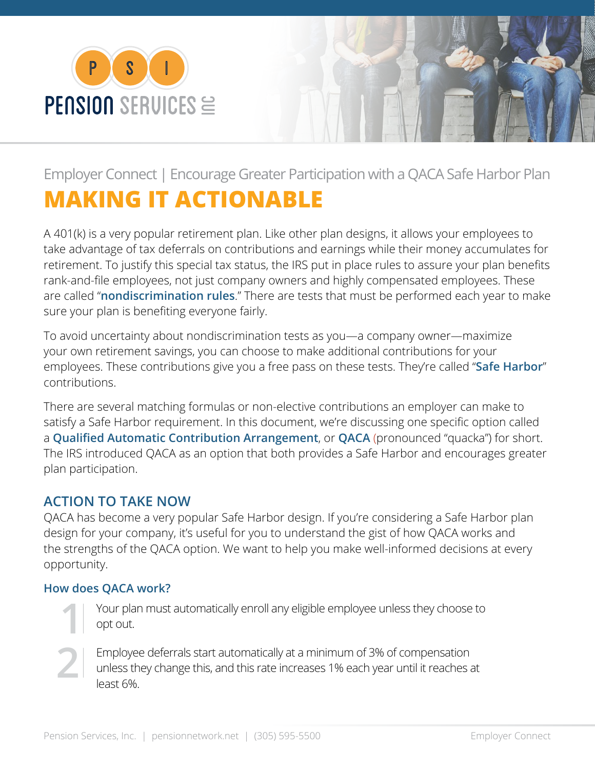



## Employer Connect | Encourage Greater Participation with a QACA Safe Harbor Plan **MAKING IT ACTIONABLE**

A 401(k) is a very popular retirement plan. Like other plan designs, it allows your employees to take advantage of tax deferrals on contributions and earnings while their money accumulates for retirement. To justify this special tax status, the IRS put in place rules to assure your plan benefits rank-and-file employees, not just company owners and highly compensated employees. These are called "**nondiscrimination rules**." There are tests that must be performed each year to make sure your plan is benefiting everyone fairly.

To avoid uncertainty about nondiscrimination tests as you—a company owner—maximize your own retirement savings, you can choose to make additional contributions for your employees. These contributions give you a free pass on these tests. They're called "**Safe Harbor**" contributions.

There are several matching formulas or non-elective contributions an employer can make to satisfy a Safe Harbor requirement. In this document, we're discussing one specific option called a **Qualified Automatic Contribution Arrangement**, or **QACA** (pronounced "quacka") for short. The IRS introduced QACA as an option that both provides a Safe Harbor and encourages greater plan participation.

## **ACTION TO TAKE NOW**

QACA has become a very popular Safe Harbor design. If you're considering a Safe Harbor plan design for your company, it's useful for you to understand the gist of how QACA works and the strengths of the QACA option. We want to help you make well-informed decisions at every opportunity.

## **How does QACA work?**

**1**

**2**

Your plan must automatically enroll any eligible employee unless they choose to opt out.

Employee deferrals start automatically at a minimum of 3% of compensation unless they change this, and this rate increases 1% each year until it reaches at least 6%.